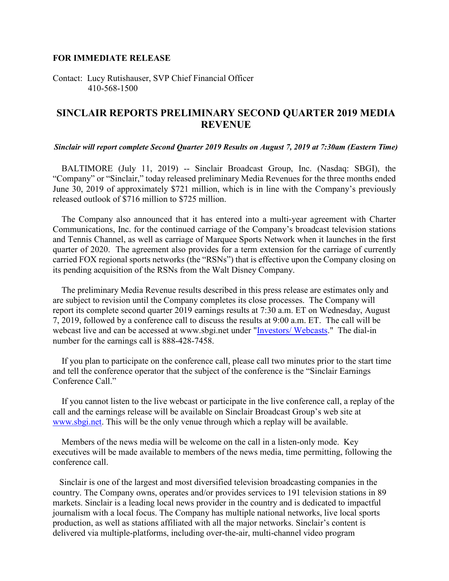## **FOR IMMEDIATE RELEASE**

Contact: Lucy Rutishauser, SVP Chief Financial Officer 410-568-1500

## **SINCLAIR REPORTS PRELIMINARY SECOND QUARTER 2019 MEDIA REVENUE**

## *Sinclair will report complete Second Quarter 2019 Results on August 7, 2019 at 7:30am (Eastern Time)*

 BALTIMORE (July 11, 2019) -- Sinclair Broadcast Group, Inc. (Nasdaq: SBGI), the "Company" or "Sinclair," today released preliminary Media Revenues for the three months ended June 30, 2019 of approximately \$721 million, which is in line with the Company's previously released outlook of \$716 million to \$725 million.

 The Company also announced that it has entered into a multi-year agreement with Charter Communications, Inc. for the continued carriage of the Company's broadcast television stations and Tennis Channel, as well as carriage of Marquee Sports Network when it launches in the first quarter of 2020. The agreement also provides for a term extension for the carriage of currently carried FOX regional sports networks (the "RSNs") that is effective upon the Company closing on its pending acquisition of the RSNs from the Walt Disney Company.

 The preliminary Media Revenue results described in this press release are estimates only and are subject to revision until the Company completes its close processes. The Company will report its complete second quarter 2019 earnings results at 7:30 a.m. ET on Wednesday, August 7, 2019, followed by a conference call to discuss the results at 9:00 a.m. ET. The call will be webcast live and can be accessed at www.sbgi.net under ["Investors/ Webcasts.](http://sbgi.net/investor-relations/#EarningsWebcast)" The dial-in number for the earnings call is 888-428-7458.

 If you plan to participate on the conference call, please call two minutes prior to the start time and tell the conference operator that the subject of the conference is the "Sinclair Earnings Conference Call."

 If you cannot listen to the live webcast or participate in the live conference call, a replay of the call and the earnings release will be available on Sinclair Broadcast Group's web site at [www.sbgi.net.](http://www.sbgi.net/) This will be the only venue through which a replay will be available.

 Members of the news media will be welcome on the call in a listen-only mode. Key executives will be made available to members of the news media, time permitting, following the conference call.

 Sinclair is one of the largest and most diversified television broadcasting companies in the country. The Company owns, operates and/or provides services to 191 television stations in 89 markets. Sinclair is a leading local news provider in the country and is dedicated to impactful journalism with a local focus. The Company has multiple national networks, live local sports production, as well as stations affiliated with all the major networks. Sinclair's content is delivered via multiple-platforms, including over-the-air, multi-channel video program